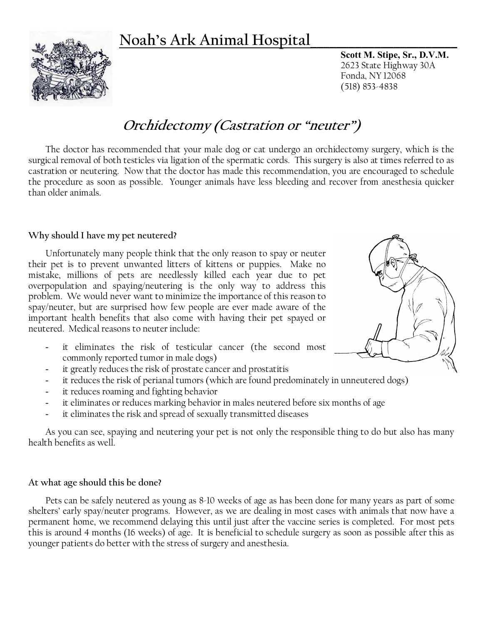## **Noah's Ark Animal Hospital\_\_\_\_\_\_\_\_\_\_\_\_\_\_\_\_\_\_\_\_\_\_\_**

**Scott M. Stipe, Sr., D.V.M.** 2623 State Highway 30A Fonda, NY 12068 (518) 853-4838

# **Orchidectomy (Castration or "neuter")**

The doctor has recommended that your male dog or cat undergo an orchidectomy surgery, which is the surgical removal of both testicles via ligation of the spermatic cords. This surgery is also at times referred to as castration or neutering. Now that the doctor has made this recommendation, you are encouraged to schedule the procedure as soon as possible. Younger animals have less bleeding and recover from anesthesia quicker than older animals.

#### **Why should I have my pet neutered?**

Unfortunately many people think that the only reason to spay or neuter their pet is to prevent unwanted litters of kittens or puppies. Make no mistake, millions of pets are needlessly killed each year due to pet overpopulation and spaying/neutering is the only way to address this problem. We would never want to minimize the importance of this reason to spay/neuter, but are surprised how few people are ever made aware of the important health benefits that also come with having their pet spayed or neutered. Medical reasons to neuter include:

- it eliminates the risk of testicular cancer (the second most commonly reported tumor in male dogs)
- it greatly reduces the risk of prostate cancer and prostatitis
- it reduces the risk of perianal tumors (which are found predominately in unneutered dogs)
- it reduces roaming and fighting behavior
- it eliminates or reduces marking behavior in males neutered before six months of age
- it eliminates the risk and spread of sexually transmitted diseases

As you can see, spaying and neutering your pet is not only the responsible thing to do but also has many health benefits as well.

#### **At what age should this be done?**

Pets can be safely neutered as young as 8-10 weeks of age as has been done for many years as part of some shelters' early spay/neuter programs. However, as we are dealing in most cases with animals that now have a permanent home, we recommend delaying this until just after the vaccine series is completed. For most pets this is around 4 months (16 weeks) of age. It is beneficial to schedule surgery as soon as possible after this as younger patients do better with the stress of surgery and anesthesia.